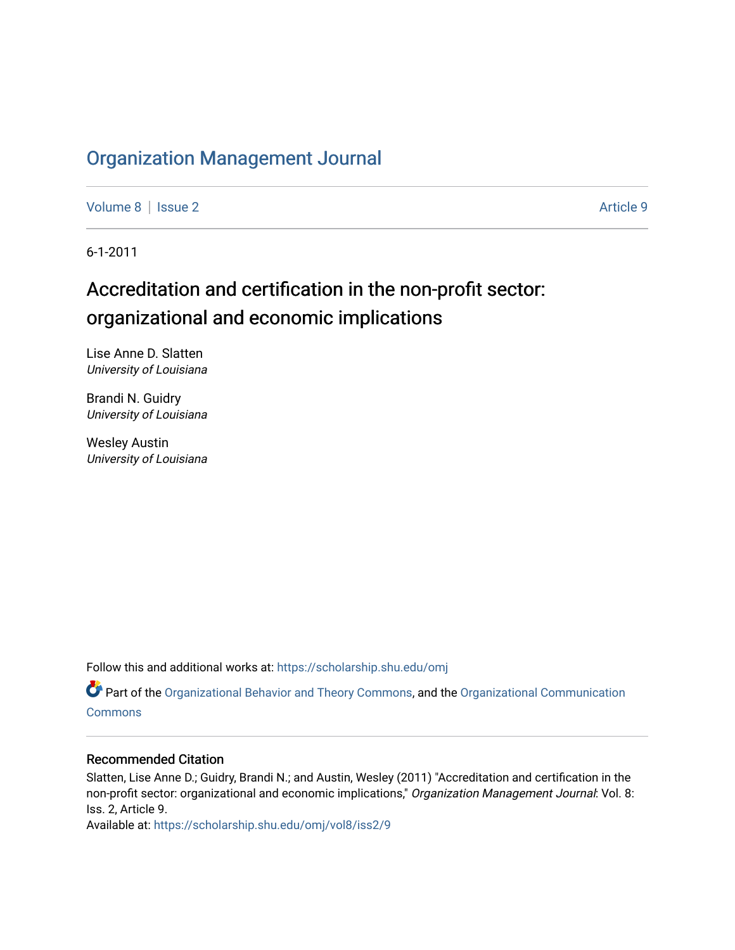# [Organization Management Journal](https://scholarship.shu.edu/omj)

[Volume 8](https://scholarship.shu.edu/omj/vol8) | [Issue 2](https://scholarship.shu.edu/omj/vol8/iss2) Article 9

6-1-2011

# Accreditation and certification in the non-profit sector: organizational and economic implications

Lise Anne D. Slatten University of Louisiana

Brandi N. Guidry University of Louisiana

Wesley Austin University of Louisiana

Follow this and additional works at: [https://scholarship.shu.edu/omj](https://scholarship.shu.edu/omj?utm_source=scholarship.shu.edu%2Fomj%2Fvol8%2Fiss2%2F9&utm_medium=PDF&utm_campaign=PDFCoverPages) 

Part of the [Organizational Behavior and Theory Commons,](http://network.bepress.com/hgg/discipline/639?utm_source=scholarship.shu.edu%2Fomj%2Fvol8%2Fiss2%2F9&utm_medium=PDF&utm_campaign=PDFCoverPages) and the [Organizational Communication](http://network.bepress.com/hgg/discipline/335?utm_source=scholarship.shu.edu%2Fomj%2Fvol8%2Fiss2%2F9&utm_medium=PDF&utm_campaign=PDFCoverPages) **[Commons](http://network.bepress.com/hgg/discipline/335?utm_source=scholarship.shu.edu%2Fomj%2Fvol8%2Fiss2%2F9&utm_medium=PDF&utm_campaign=PDFCoverPages)** 

# Recommended Citation

Slatten, Lise Anne D.; Guidry, Brandi N.; and Austin, Wesley (2011) "Accreditation and certification in the non-profit sector: organizational and economic implications," Organization Management Journal: Vol. 8: Iss. 2, Article 9.

Available at: [https://scholarship.shu.edu/omj/vol8/iss2/9](https://scholarship.shu.edu/omj/vol8/iss2/9?utm_source=scholarship.shu.edu%2Fomj%2Fvol8%2Fiss2%2F9&utm_medium=PDF&utm_campaign=PDFCoverPages)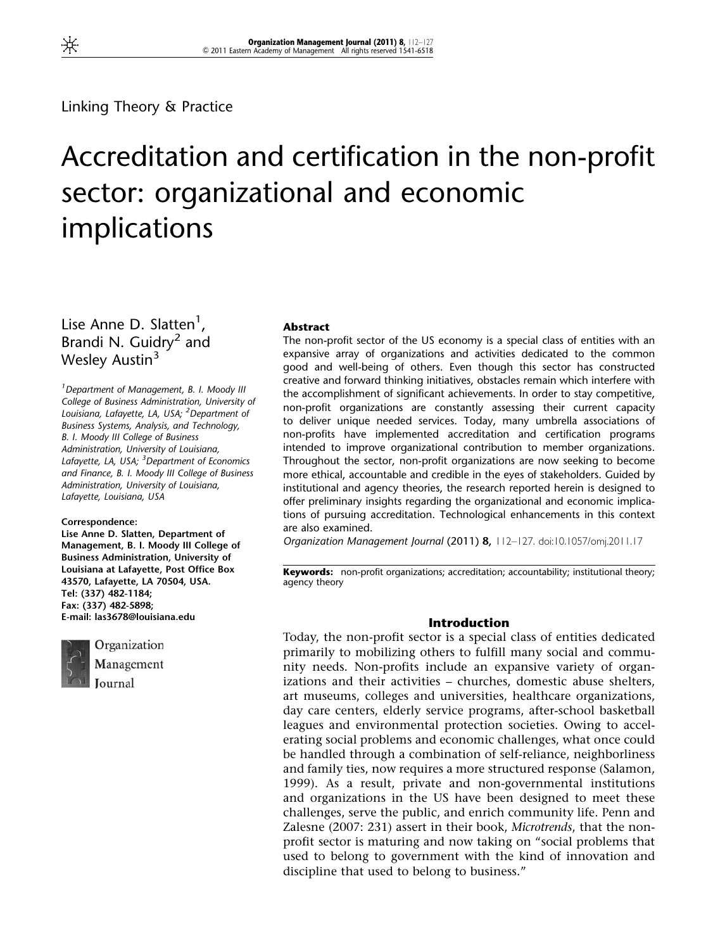Linking Theory & Practice

# Accreditation and certification in the non-profit sector: organizational and economic implications

Lise Anne D. Slatten<sup>1</sup>, Brandi N. Guidry<sup>2</sup> and Wesley Austin<sup>3</sup>

<sup>1</sup> Department of Management, B. I. Moody III College of Business Administration, University of Louisiana, Lafayette, LA, USA; <sup>2</sup> Department of Business Systems, Analysis, and Technology, B. I. Moody III College of Business Administration, University of Louisiana, Lafayette, LA, USA; <sup>3</sup>Department of Economics and Finance, B. I. Moody III College of Business Administration, University of Louisiana, Lafayette, Louisiana, USA

#### Correspondence:

Lise Anne D. Slatten, Department of Management, B. I. Moody III College of Business Administration, University of Louisiana at Lafayette, Post Office Box 43570, Lafayette, LA 70504, USA. Tel: (337) 482-1184; Fax: (337) 482-5898; E-mail: las3678@louisiana.edu



Organization Management Journal

#### Abstract

The non-profit sector of the US economy is a special class of entities with an expansive array of organizations and activities dedicated to the common good and well-being of others. Even though this sector has constructed creative and forward thinking initiatives, obstacles remain which interfere with the accomplishment of significant achievements. In order to stay competitive, non-profit organizations are constantly assessing their current capacity to deliver unique needed services. Today, many umbrella associations of non-profits have implemented accreditation and certification programs intended to improve organizational contribution to member organizations. Throughout the sector, non-profit organizations are now seeking to become more ethical, accountable and credible in the eyes of stakeholders. Guided by institutional and agency theories, the research reported herein is designed to offer preliminary insights regarding the organizational and economic implications of pursuing accreditation. Technological enhancements in this context are also examined.

Organization Management Journal (2011) 8, 112–127. doi:10.1057/omj.2011.17

Keywords: non-profit organizations; accreditation; accountability; institutional theory; agency theory

#### Introduction

Today, the non-profit sector is a special class of entities dedicated primarily to mobilizing others to fulfill many social and community needs. Non-profits include an expansive variety of organizations and their activities – churches, domestic abuse shelters, art museums, colleges and universities, healthcare organizations, day care centers, elderly service programs, after-school basketball leagues and environmental protection societies. Owing to accelerating social problems and economic challenges, what once could be handled through a combination of self-reliance, neighborliness and family ties, now requires a more structured response (Salamon, 1999). As a result, private and non-governmental institutions and organizations in the US have been designed to meet these challenges, serve the public, and enrich community life. Penn and Zalesne (2007: 231) assert in their book, Microtrends, that the nonprofit sector is maturing and now taking on "social problems that used to belong to government with the kind of innovation and discipline that used to belong to business."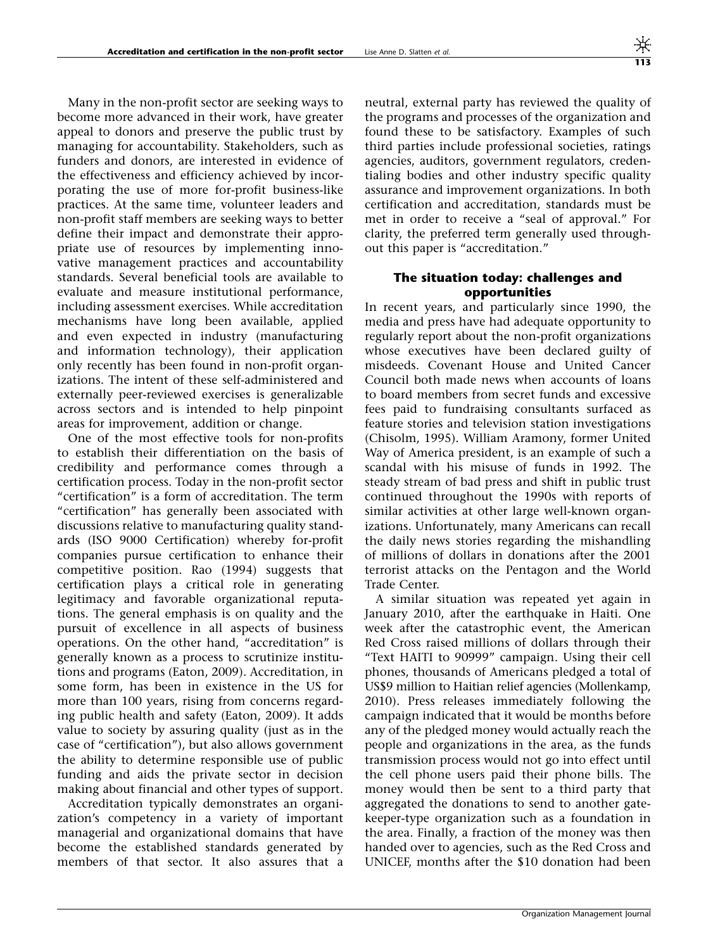Many in the non-profit sector are seeking ways to become more advanced in their work, have greater appeal to donors and preserve the public trust by managing for accountability. Stakeholders, such as funders and donors, are interested in evidence of the effectiveness and efficiency achieved by incorporating the use of more for-profit business-like practices. At the same time, volunteer leaders and non-profit staff members are seeking ways to better define their impact and demonstrate their appropriate use of resources by implementing innovative management practices and accountability standards. Several beneficial tools are available to evaluate and measure institutional performance, including assessment exercises. While accreditation mechanisms have long been available, applied and even expected in industry (manufacturing and information technology), their application only recently has been found in non-profit organizations. The intent of these self-administered and externally peer-reviewed exercises is generalizable across sectors and is intended to help pinpoint areas for improvement, addition or change.

One of the most effective tools for non-profits to establish their differentiation on the basis of credibility and performance comes through a certification process. Today in the non-profit sector "certification" is a form of accreditation. The term "certification" has generally been associated with discussions relative to manufacturing quality standards (ISO 9000 Certification) whereby for-profit companies pursue certification to enhance their competitive position. Rao (1994) suggests that certification plays a critical role in generating legitimacy and favorable organizational reputations. The general emphasis is on quality and the pursuit of excellence in all aspects of business operations. On the other hand, "accreditation" is generally known as a process to scrutinize institutions and programs (Eaton, 2009). Accreditation, in some form, has been in existence in the US for more than 100 years, rising from concerns regarding public health and safety (Eaton, 2009). It adds value to society by assuring quality (just as in the case of "certification"), but also allows government the ability to determine responsible use of public funding and aids the private sector in decision making about financial and other types of support.

Accreditation typically demonstrates an organization's competency in a variety of important managerial and organizational domains that have become the established standards generated by members of that sector. It also assures that a neutral, external party has reviewed the quality of the programs and processes of the organization and found these to be satisfactory. Examples of such third parties include professional societies, ratings agencies, auditors, government regulators, credentialing bodies and other industry specific quality assurance and improvement organizations. In both certification and accreditation, standards must be met in order to receive a "seal of approval." For clarity, the preferred term generally used throughout this paper is "accreditation."

#### The situation today: challenges and opportunities

In recent years, and particularly since 1990, the media and press have had adequate opportunity to regularly report about the non-profit organizations whose executives have been declared guilty of misdeeds. Covenant House and United Cancer Council both made news when accounts of loans to board members from secret funds and excessive fees paid to fundraising consultants surfaced as feature stories and television station investigations (Chisolm, 1995). William Aramony, former United Way of America president, is an example of such a scandal with his misuse of funds in 1992. The steady stream of bad press and shift in public trust continued throughout the 1990s with reports of similar activities at other large well-known organizations. Unfortunately, many Americans can recall the daily news stories regarding the mishandling of millions of dollars in donations after the 2001 terrorist attacks on the Pentagon and the World Trade Center.

A similar situation was repeated yet again in January 2010, after the earthquake in Haiti. One week after the catastrophic event, the American Red Cross raised millions of dollars through their "Text HAITI to 90999" campaign. Using their cell phones, thousands of Americans pledged a total of US\$9 million to Haitian relief agencies (Mollenkamp, 2010). Press releases immediately following the campaign indicated that it would be months before any of the pledged money would actually reach the people and organizations in the area, as the funds transmission process would not go into effect until the cell phone users paid their phone bills. The money would then be sent to a third party that aggregated the donations to send to another gatekeeper-type organization such as a foundation in the area. Finally, a fraction of the money was then handed over to agencies, such as the Red Cross and UNICEF, months after the \$10 donation had been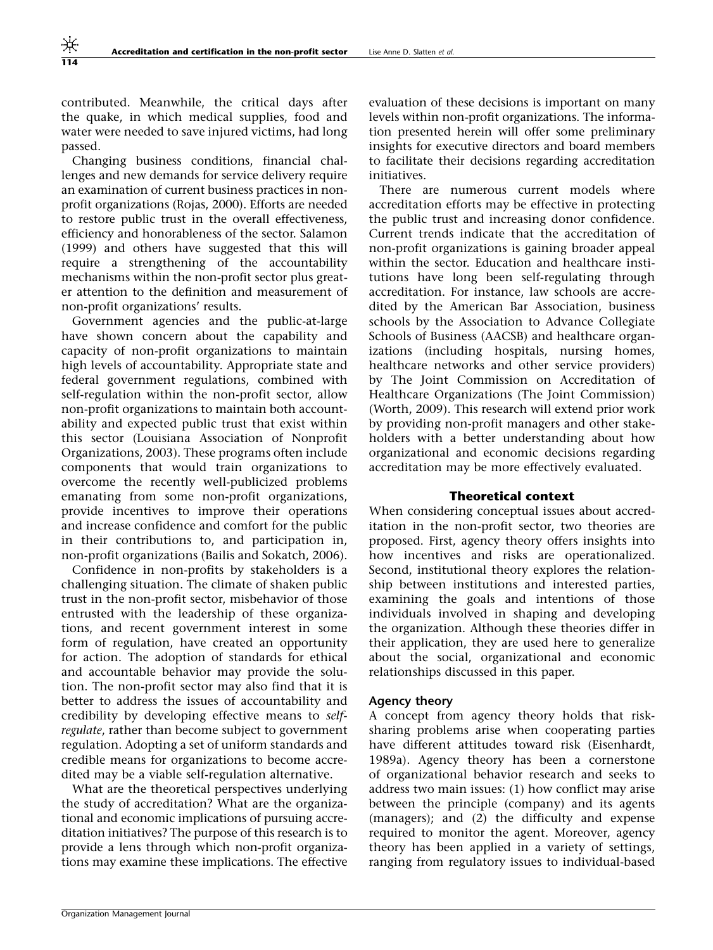contributed. Meanwhile, the critical days after the quake, in which medical supplies, food and water were needed to save injured victims, had long passed.

Changing business conditions, financial challenges and new demands for service delivery require an examination of current business practices in nonprofit organizations (Rojas, 2000). Efforts are needed to restore public trust in the overall effectiveness, efficiency and honorableness of the sector. Salamon (1999) and others have suggested that this will require a strengthening of the accountability mechanisms within the non-profit sector plus greater attention to the definition and measurement of non-profit organizations' results.

Government agencies and the public-at-large have shown concern about the capability and capacity of non-profit organizations to maintain high levels of accountability. Appropriate state and federal government regulations, combined with self-regulation within the non-profit sector, allow non-profit organizations to maintain both accountability and expected public trust that exist within this sector (Louisiana Association of Nonprofit Organizations, 2003). These programs often include components that would train organizations to overcome the recently well-publicized problems emanating from some non-profit organizations, provide incentives to improve their operations and increase confidence and comfort for the public in their contributions to, and participation in, non-profit organizations (Bailis and Sokatch, 2006).

Confidence in non-profits by stakeholders is a challenging situation. The climate of shaken public trust in the non-profit sector, misbehavior of those entrusted with the leadership of these organizations, and recent government interest in some form of regulation, have created an opportunity for action. The adoption of standards for ethical and accountable behavior may provide the solution. The non-profit sector may also find that it is better to address the issues of accountability and credibility by developing effective means to selfregulate, rather than become subject to government regulation. Adopting a set of uniform standards and credible means for organizations to become accredited may be a viable self-regulation alternative.

What are the theoretical perspectives underlying the study of accreditation? What are the organizational and economic implications of pursuing accreditation initiatives? The purpose of this research is to provide a lens through which non-profit organizations may examine these implications. The effective evaluation of these decisions is important on many levels within non-profit organizations. The information presented herein will offer some preliminary insights for executive directors and board members to facilitate their decisions regarding accreditation initiatives.

There are numerous current models where accreditation efforts may be effective in protecting the public trust and increasing donor confidence. Current trends indicate that the accreditation of non-profit organizations is gaining broader appeal within the sector. Education and healthcare institutions have long been self-regulating through accreditation. For instance, law schools are accredited by the American Bar Association, business schools by the Association to Advance Collegiate Schools of Business (AACSB) and healthcare organizations (including hospitals, nursing homes, healthcare networks and other service providers) by The Joint Commission on Accreditation of Healthcare Organizations (The Joint Commission) (Worth, 2009). This research will extend prior work by providing non-profit managers and other stakeholders with a better understanding about how organizational and economic decisions regarding accreditation may be more effectively evaluated.

# Theoretical context

When considering conceptual issues about accreditation in the non-profit sector, two theories are proposed. First, agency theory offers insights into how incentives and risks are operationalized. Second, institutional theory explores the relationship between institutions and interested parties, examining the goals and intentions of those individuals involved in shaping and developing the organization. Although these theories differ in their application, they are used here to generalize about the social, organizational and economic relationships discussed in this paper.

# Agency theory

A concept from agency theory holds that risksharing problems arise when cooperating parties have different attitudes toward risk (Eisenhardt, 1989a). Agency theory has been a cornerstone of organizational behavior research and seeks to address two main issues: (1) how conflict may arise between the principle (company) and its agents (managers); and (2) the difficulty and expense required to monitor the agent. Moreover, agency theory has been applied in a variety of settings, ranging from regulatory issues to individual-based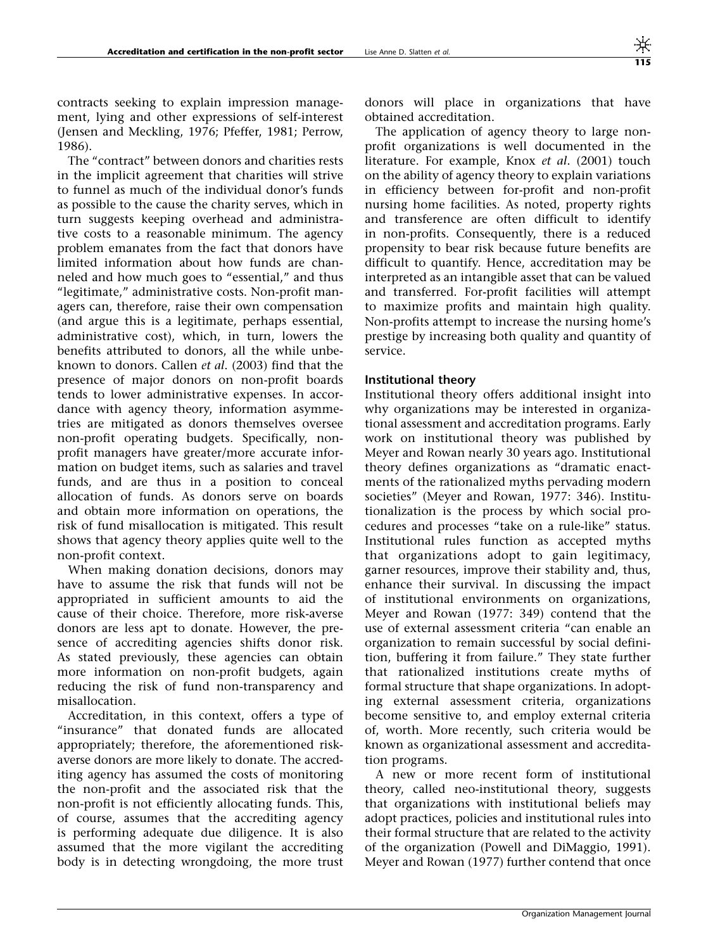contracts seeking to explain impression management, lying and other expressions of self-interest (Jensen and Meckling, 1976; Pfeffer, 1981; Perrow, 1986).

The "contract" between donors and charities rests in the implicit agreement that charities will strive to funnel as much of the individual donor's funds as possible to the cause the charity serves, which in turn suggests keeping overhead and administrative costs to a reasonable minimum. The agency problem emanates from the fact that donors have limited information about how funds are channeled and how much goes to "essential," and thus "legitimate," administrative costs. Non-profit managers can, therefore, raise their own compensation (and argue this is a legitimate, perhaps essential, administrative cost), which, in turn, lowers the benefits attributed to donors, all the while unbeknown to donors. Callen et al. (2003) find that the presence of major donors on non-profit boards tends to lower administrative expenses. In accordance with agency theory, information asymmetries are mitigated as donors themselves oversee non-profit operating budgets. Specifically, nonprofit managers have greater/more accurate information on budget items, such as salaries and travel funds, and are thus in a position to conceal allocation of funds. As donors serve on boards and obtain more information on operations, the risk of fund misallocation is mitigated. This result shows that agency theory applies quite well to the non-profit context.

When making donation decisions, donors may have to assume the risk that funds will not be appropriated in sufficient amounts to aid the cause of their choice. Therefore, more risk-averse donors are less apt to donate. However, the presence of accrediting agencies shifts donor risk. As stated previously, these agencies can obtain more information on non-profit budgets, again reducing the risk of fund non-transparency and misallocation.

Accreditation, in this context, offers a type of "insurance" that donated funds are allocated appropriately; therefore, the aforementioned riskaverse donors are more likely to donate. The accrediting agency has assumed the costs of monitoring the non-profit and the associated risk that the non-profit is not efficiently allocating funds. This, of course, assumes that the accrediting agency is performing adequate due diligence. It is also assumed that the more vigilant the accrediting body is in detecting wrongdoing, the more trust donors will place in organizations that have obtained accreditation.

The application of agency theory to large nonprofit organizations is well documented in the literature. For example, Knox et al. (2001) touch on the ability of agency theory to explain variations in efficiency between for-profit and non-profit nursing home facilities. As noted, property rights and transference are often difficult to identify in non-profits. Consequently, there is a reduced propensity to bear risk because future benefits are difficult to quantify. Hence, accreditation may be interpreted as an intangible asset that can be valued and transferred. For-profit facilities will attempt to maximize profits and maintain high quality. Non-profits attempt to increase the nursing home's prestige by increasing both quality and quantity of service.

#### Institutional theory

Institutional theory offers additional insight into why organizations may be interested in organizational assessment and accreditation programs. Early work on institutional theory was published by Meyer and Rowan nearly 30 years ago. Institutional theory defines organizations as "dramatic enactments of the rationalized myths pervading modern societies" (Meyer and Rowan, 1977: 346). Institutionalization is the process by which social procedures and processes "take on a rule-like" status. Institutional rules function as accepted myths that organizations adopt to gain legitimacy, garner resources, improve their stability and, thus, enhance their survival. In discussing the impact of institutional environments on organizations, Meyer and Rowan (1977: 349) contend that the use of external assessment criteria "can enable an organization to remain successful by social definition, buffering it from failure." They state further that rationalized institutions create myths of formal structure that shape organizations. In adopting external assessment criteria, organizations become sensitive to, and employ external criteria of, worth. More recently, such criteria would be known as organizational assessment and accreditation programs.

A new or more recent form of institutional theory, called neo-institutional theory, suggests that organizations with institutional beliefs may adopt practices, policies and institutional rules into their formal structure that are related to the activity of the organization (Powell and DiMaggio, 1991). Meyer and Rowan (1977) further contend that once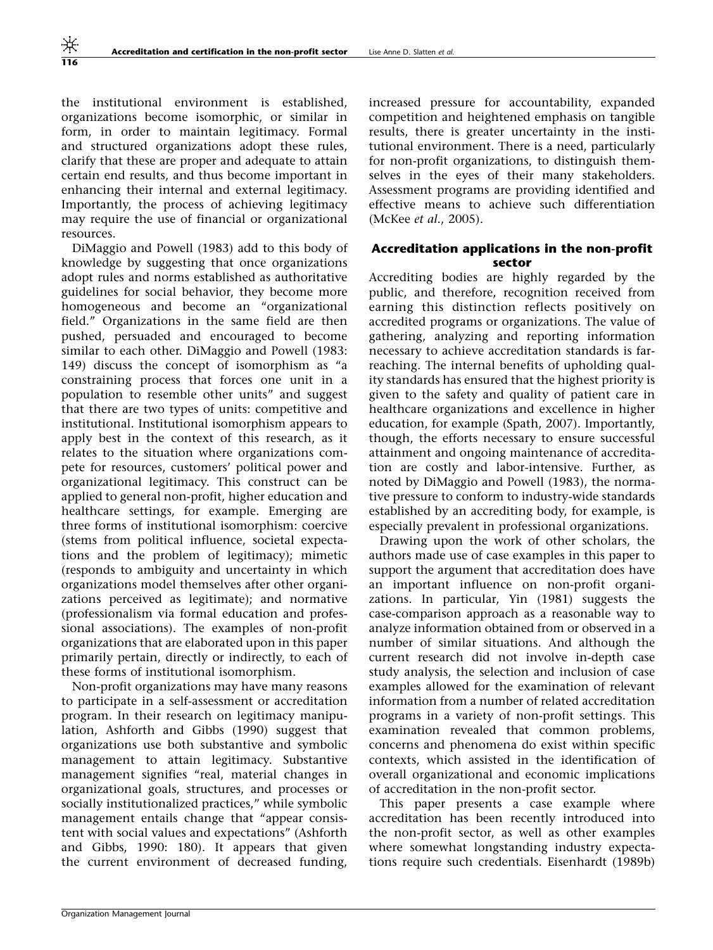the institutional environment is established, organizations become isomorphic, or similar in form, in order to maintain legitimacy. Formal and structured organizations adopt these rules, clarify that these are proper and adequate to attain certain end results, and thus become important in enhancing their internal and external legitimacy. Importantly, the process of achieving legitimacy may require the use of financial or organizational resources.

DiMaggio and Powell (1983) add to this body of knowledge by suggesting that once organizations adopt rules and norms established as authoritative guidelines for social behavior, they become more homogeneous and become an "organizational field." Organizations in the same field are then pushed, persuaded and encouraged to become similar to each other. DiMaggio and Powell (1983: 149) discuss the concept of isomorphism as "a constraining process that forces one unit in a population to resemble other units" and suggest that there are two types of units: competitive and institutional. Institutional isomorphism appears to apply best in the context of this research, as it relates to the situation where organizations compete for resources, customers' political power and organizational legitimacy. This construct can be applied to general non-profit, higher education and healthcare settings, for example. Emerging are three forms of institutional isomorphism: coercive (stems from political influence, societal expectations and the problem of legitimacy); mimetic (responds to ambiguity and uncertainty in which organizations model themselves after other organizations perceived as legitimate); and normative (professionalism via formal education and professional associations). The examples of non-profit organizations that are elaborated upon in this paper primarily pertain, directly or indirectly, to each of these forms of institutional isomorphism.

Non-profit organizations may have many reasons to participate in a self-assessment or accreditation program. In their research on legitimacy manipulation, Ashforth and Gibbs (1990) suggest that organizations use both substantive and symbolic management to attain legitimacy. Substantive management signifies "real, material changes in organizational goals, structures, and processes or socially institutionalized practices," while symbolic management entails change that "appear consistent with social values and expectations" (Ashforth and Gibbs, 1990: 180). It appears that given the current environment of decreased funding, increased pressure for accountability, expanded competition and heightened emphasis on tangible results, there is greater uncertainty in the institutional environment. There is a need, particularly for non-profit organizations, to distinguish themselves in the eyes of their many stakeholders. Assessment programs are providing identified and effective means to achieve such differentiation (McKee et al., 2005).

## Accreditation applications in the non-profit sector

Accrediting bodies are highly regarded by the public, and therefore, recognition received from earning this distinction reflects positively on accredited programs or organizations. The value of gathering, analyzing and reporting information necessary to achieve accreditation standards is farreaching. The internal benefits of upholding quality standards has ensured that the highest priority is given to the safety and quality of patient care in healthcare organizations and excellence in higher education, for example (Spath, 2007). Importantly, though, the efforts necessary to ensure successful attainment and ongoing maintenance of accreditation are costly and labor-intensive. Further, as noted by DiMaggio and Powell (1983), the normative pressure to conform to industry-wide standards established by an accrediting body, for example, is especially prevalent in professional organizations.

Drawing upon the work of other scholars, the authors made use of case examples in this paper to support the argument that accreditation does have an important influence on non-profit organizations. In particular, Yin (1981) suggests the case-comparison approach as a reasonable way to analyze information obtained from or observed in a number of similar situations. And although the current research did not involve in-depth case study analysis, the selection and inclusion of case examples allowed for the examination of relevant information from a number of related accreditation programs in a variety of non-profit settings. This examination revealed that common problems, concerns and phenomena do exist within specific contexts, which assisted in the identification of overall organizational and economic implications of accreditation in the non-profit sector.

This paper presents a case example where accreditation has been recently introduced into the non-profit sector, as well as other examples where somewhat longstanding industry expectations require such credentials. Eisenhardt (1989b)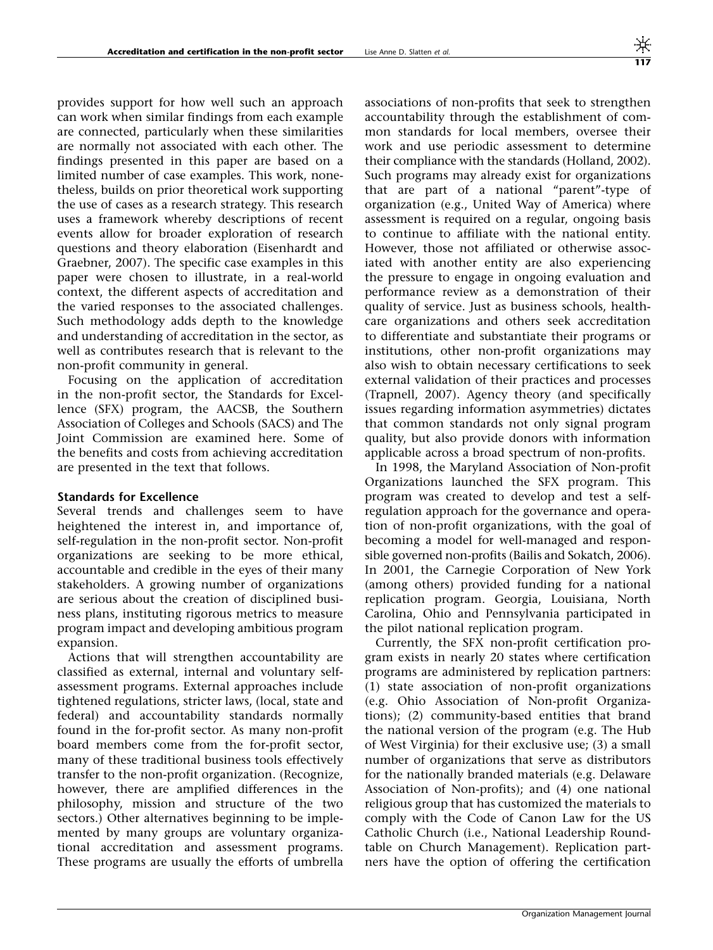provides support for how well such an approach can work when similar findings from each example are connected, particularly when these similarities are normally not associated with each other. The findings presented in this paper are based on a limited number of case examples. This work, nonetheless, builds on prior theoretical work supporting the use of cases as a research strategy. This research uses a framework whereby descriptions of recent events allow for broader exploration of research questions and theory elaboration (Eisenhardt and Graebner, 2007). The specific case examples in this paper were chosen to illustrate, in a real-world context, the different aspects of accreditation and the varied responses to the associated challenges. Such methodology adds depth to the knowledge and understanding of accreditation in the sector, as well as contributes research that is relevant to the non-profit community in general.

Focusing on the application of accreditation in the non-profit sector, the Standards for Excellence (SFX) program, the AACSB, the Southern Association of Colleges and Schools (SACS) and The Joint Commission are examined here. Some of the benefits and costs from achieving accreditation are presented in the text that follows.

#### Standards for Excellence

Several trends and challenges seem to have heightened the interest in, and importance of, self-regulation in the non-profit sector. Non-profit organizations are seeking to be more ethical, accountable and credible in the eyes of their many stakeholders. A growing number of organizations are serious about the creation of disciplined business plans, instituting rigorous metrics to measure program impact and developing ambitious program expansion.

Actions that will strengthen accountability are classified as external, internal and voluntary selfassessment programs. External approaches include tightened regulations, stricter laws, (local, state and federal) and accountability standards normally found in the for-profit sector. As many non-profit board members come from the for-profit sector, many of these traditional business tools effectively transfer to the non-profit organization. (Recognize, however, there are amplified differences in the philosophy, mission and structure of the two sectors.) Other alternatives beginning to be implemented by many groups are voluntary organizational accreditation and assessment programs. These programs are usually the efforts of umbrella associations of non-profits that seek to strengthen accountability through the establishment of common standards for local members, oversee their work and use periodic assessment to determine their compliance with the standards (Holland, 2002). Such programs may already exist for organizations that are part of a national "parent"-type of organization (e.g., United Way of America) where assessment is required on a regular, ongoing basis to continue to affiliate with the national entity. However, those not affiliated or otherwise associated with another entity are also experiencing the pressure to engage in ongoing evaluation and performance review as a demonstration of their quality of service. Just as business schools, healthcare organizations and others seek accreditation to differentiate and substantiate their programs or institutions, other non-profit organizations may also wish to obtain necessary certifications to seek external validation of their practices and processes (Trapnell, 2007). Agency theory (and specifically issues regarding information asymmetries) dictates that common standards not only signal program quality, but also provide donors with information applicable across a broad spectrum of non-profits.

In 1998, the Maryland Association of Non-profit Organizations launched the SFX program. This program was created to develop and test a selfregulation approach for the governance and operation of non-profit organizations, with the goal of becoming a model for well-managed and responsible governed non-profits (Bailis and Sokatch, 2006). In 2001, the Carnegie Corporation of New York (among others) provided funding for a national replication program. Georgia, Louisiana, North Carolina, Ohio and Pennsylvania participated in the pilot national replication program.

Currently, the SFX non-profit certification program exists in nearly 20 states where certification programs are administered by replication partners: (1) state association of non-profit organizations (e.g. Ohio Association of Non-profit Organizations); (2) community-based entities that brand the national version of the program (e.g. The Hub of West Virginia) for their exclusive use; (3) a small number of organizations that serve as distributors for the nationally branded materials (e.g. Delaware Association of Non-profits); and (4) one national religious group that has customized the materials to comply with the Code of Canon Law for the US Catholic Church (i.e., National Leadership Roundtable on Church Management). Replication partners have the option of offering the certification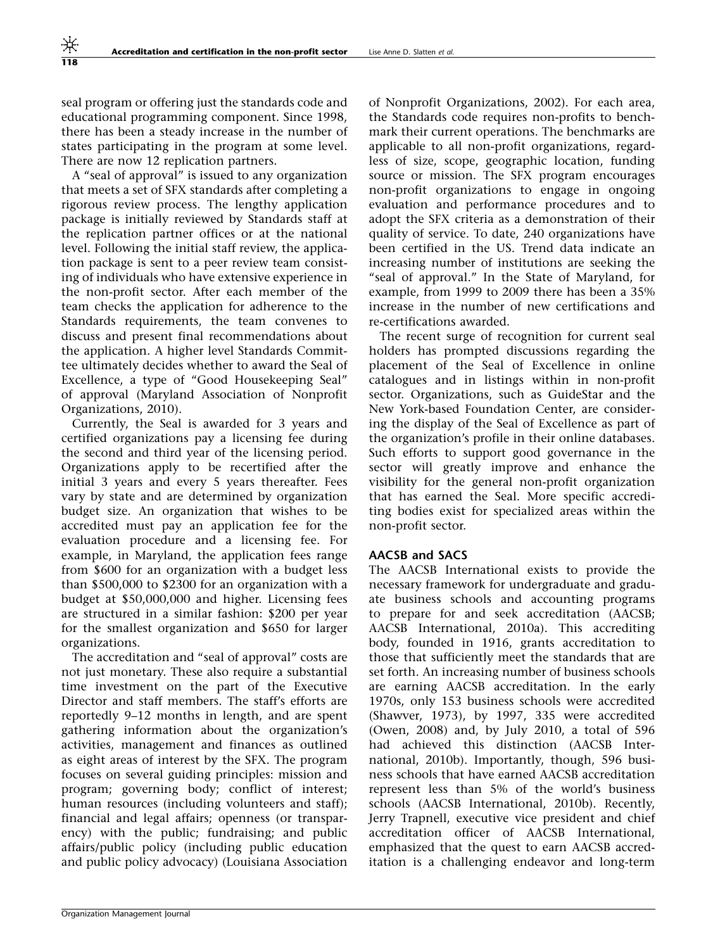seal program or offering just the standards code and educational programming component. Since 1998, there has been a steady increase in the number of states participating in the program at some level. There are now 12 replication partners.

A "seal of approval" is issued to any organization that meets a set of SFX standards after completing a rigorous review process. The lengthy application package is initially reviewed by Standards staff at the replication partner offices or at the national level. Following the initial staff review, the application package is sent to a peer review team consisting of individuals who have extensive experience in the non-profit sector. After each member of the team checks the application for adherence to the Standards requirements, the team convenes to discuss and present final recommendations about the application. A higher level Standards Committee ultimately decides whether to award the Seal of Excellence, a type of "Good Housekeeping Seal" of approval (Maryland Association of Nonprofit Organizations, 2010).

Currently, the Seal is awarded for 3 years and certified organizations pay a licensing fee during the second and third year of the licensing period. Organizations apply to be recertified after the initial 3 years and every 5 years thereafter. Fees vary by state and are determined by organization budget size. An organization that wishes to be accredited must pay an application fee for the evaluation procedure and a licensing fee. For example, in Maryland, the application fees range from \$600 for an organization with a budget less than \$500,000 to \$2300 for an organization with a budget at \$50,000,000 and higher. Licensing fees are structured in a similar fashion: \$200 per year for the smallest organization and \$650 for larger organizations.

The accreditation and "seal of approval" costs are not just monetary. These also require a substantial time investment on the part of the Executive Director and staff members. The staff's efforts are reportedly 9–12 months in length, and are spent gathering information about the organization's activities, management and finances as outlined as eight areas of interest by the SFX. The program focuses on several guiding principles: mission and program; governing body; conflict of interest; human resources (including volunteers and staff); financial and legal affairs; openness (or transparency) with the public; fundraising; and public affairs/public policy (including public education and public policy advocacy) (Louisiana Association of Nonprofit Organizations, 2002). For each area, the Standards code requires non-profits to benchmark their current operations. The benchmarks are applicable to all non-profit organizations, regardless of size, scope, geographic location, funding source or mission. The SFX program encourages non-profit organizations to engage in ongoing evaluation and performance procedures and to adopt the SFX criteria as a demonstration of their quality of service. To date, 240 organizations have been certified in the US. Trend data indicate an increasing number of institutions are seeking the "seal of approval." In the State of Maryland, for example, from 1999 to 2009 there has been a 35% increase in the number of new certifications and re-certifications awarded.

The recent surge of recognition for current seal holders has prompted discussions regarding the placement of the Seal of Excellence in online catalogues and in listings within in non-profit sector. Organizations, such as GuideStar and the New York-based Foundation Center, are considering the display of the Seal of Excellence as part of the organization's profile in their online databases. Such efforts to support good governance in the sector will greatly improve and enhance the visibility for the general non-profit organization that has earned the Seal. More specific accrediting bodies exist for specialized areas within the non-profit sector.

# AACSB and SACS

The AACSB International exists to provide the necessary framework for undergraduate and graduate business schools and accounting programs to prepare for and seek accreditation (AACSB; AACSB International, 2010a). This accrediting body, founded in 1916, grants accreditation to those that sufficiently meet the standards that are set forth. An increasing number of business schools are earning AACSB accreditation. In the early 1970s, only 153 business schools were accredited (Shawver, 1973), by 1997, 335 were accredited (Owen, 2008) and, by July 2010, a total of 596 had achieved this distinction (AACSB International, 2010b). Importantly, though, 596 business schools that have earned AACSB accreditation represent less than 5% of the world's business schools (AACSB International, 2010b). Recently, Jerry Trapnell, executive vice president and chief accreditation officer of AACSB International, emphasized that the quest to earn AACSB accreditation is a challenging endeavor and long-term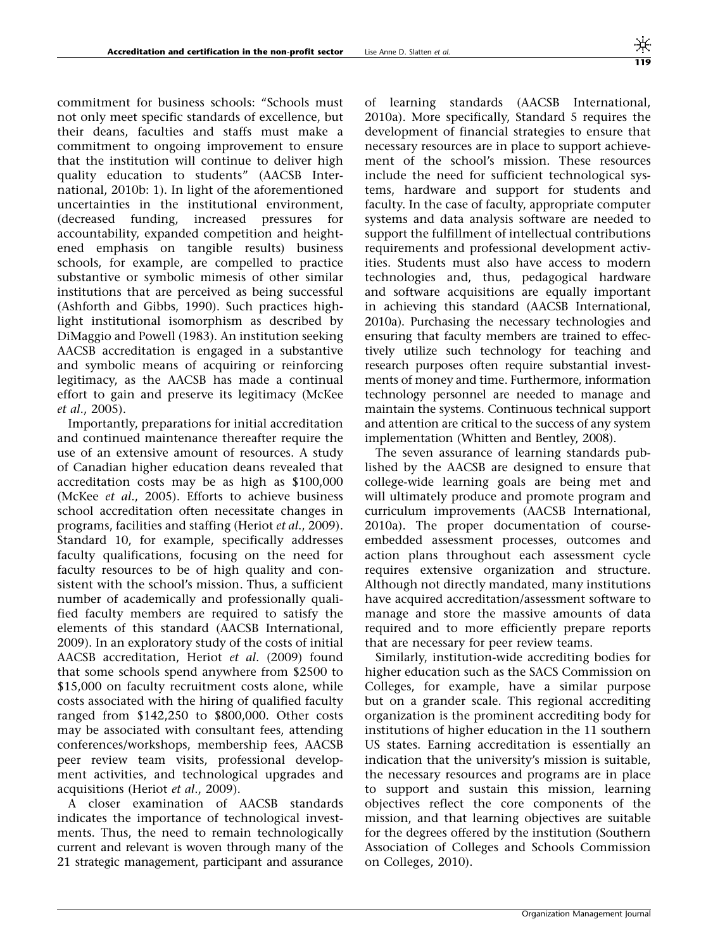commitment for business schools: "Schools must not only meet specific standards of excellence, but their deans, faculties and staffs must make a commitment to ongoing improvement to ensure that the institution will continue to deliver high quality education to students" (AACSB International, 2010b: 1). In light of the aforementioned uncertainties in the institutional environment, (decreased funding, increased pressures for accountability, expanded competition and heightened emphasis on tangible results) business schools, for example, are compelled to practice substantive or symbolic mimesis of other similar institutions that are perceived as being successful (Ashforth and Gibbs, 1990). Such practices highlight institutional isomorphism as described by DiMaggio and Powell (1983). An institution seeking AACSB accreditation is engaged in a substantive and symbolic means of acquiring or reinforcing legitimacy, as the AACSB has made a continual effort to gain and preserve its legitimacy (McKee et al., 2005).

Importantly, preparations for initial accreditation and continued maintenance thereafter require the use of an extensive amount of resources. A study of Canadian higher education deans revealed that accreditation costs may be as high as \$100,000 (McKee et al., 2005). Efforts to achieve business school accreditation often necessitate changes in programs, facilities and staffing (Heriot et al., 2009). Standard 10, for example, specifically addresses faculty qualifications, focusing on the need for faculty resources to be of high quality and consistent with the school's mission. Thus, a sufficient number of academically and professionally qualified faculty members are required to satisfy the elements of this standard (AACSB International, 2009). In an exploratory study of the costs of initial AACSB accreditation, Heriot et al. (2009) found that some schools spend anywhere from \$2500 to \$15,000 on faculty recruitment costs alone, while costs associated with the hiring of qualified faculty ranged from \$142,250 to \$800,000. Other costs may be associated with consultant fees, attending conferences/workshops, membership fees, AACSB peer review team visits, professional development activities, and technological upgrades and acquisitions (Heriot et al., 2009).

A closer examination of AACSB standards indicates the importance of technological investments. Thus, the need to remain technologically current and relevant is woven through many of the 21 strategic management, participant and assurance of learning standards (AACSB International, 2010a). More specifically, Standard 5 requires the development of financial strategies to ensure that necessary resources are in place to support achievement of the school's mission. These resources include the need for sufficient technological systems, hardware and support for students and faculty. In the case of faculty, appropriate computer systems and data analysis software are needed to support the fulfillment of intellectual contributions requirements and professional development activities. Students must also have access to modern technologies and, thus, pedagogical hardware and software acquisitions are equally important in achieving this standard (AACSB International, 2010a). Purchasing the necessary technologies and ensuring that faculty members are trained to effectively utilize such technology for teaching and research purposes often require substantial investments of money and time. Furthermore, information technology personnel are needed to manage and maintain the systems. Continuous technical support and attention are critical to the success of any system implementation (Whitten and Bentley, 2008).

The seven assurance of learning standards published by the AACSB are designed to ensure that college-wide learning goals are being met and will ultimately produce and promote program and curriculum improvements (AACSB International, 2010a). The proper documentation of courseembedded assessment processes, outcomes and action plans throughout each assessment cycle requires extensive organization and structure. Although not directly mandated, many institutions have acquired accreditation/assessment software to manage and store the massive amounts of data required and to more efficiently prepare reports that are necessary for peer review teams.

Similarly, institution-wide accrediting bodies for higher education such as the SACS Commission on Colleges, for example, have a similar purpose but on a grander scale. This regional accrediting organization is the prominent accrediting body for institutions of higher education in the 11 southern US states. Earning accreditation is essentially an indication that the university's mission is suitable, the necessary resources and programs are in place to support and sustain this mission, learning objectives reflect the core components of the mission, and that learning objectives are suitable for the degrees offered by the institution (Southern Association of Colleges and Schools Commission on Colleges, 2010).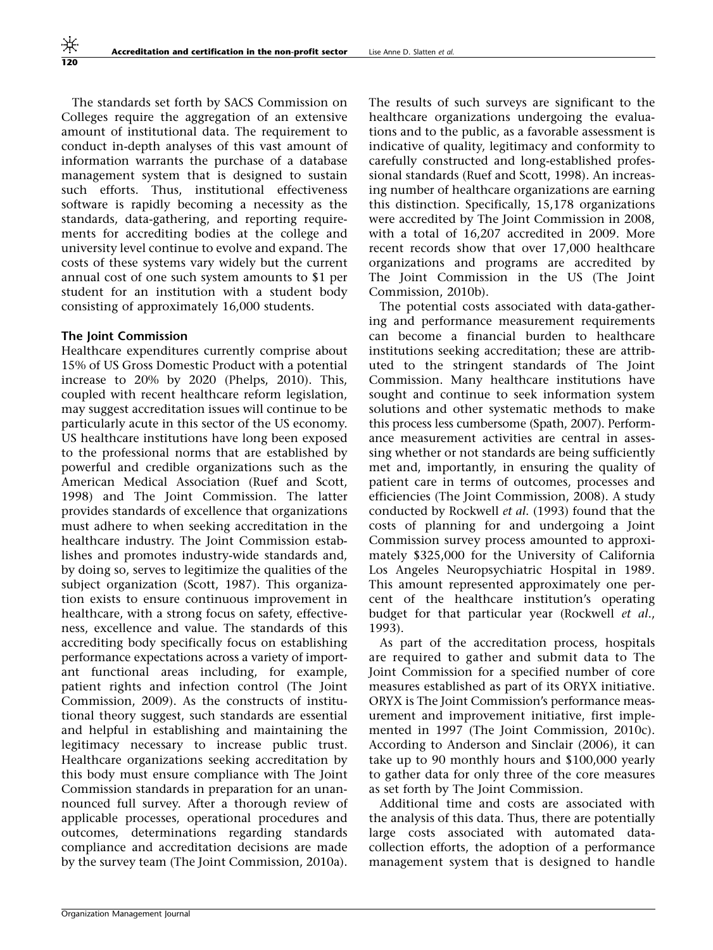The standards set forth by SACS Commission on Colleges require the aggregation of an extensive amount of institutional data. The requirement to conduct in-depth analyses of this vast amount of information warrants the purchase of a database management system that is designed to sustain such efforts. Thus, institutional effectiveness software is rapidly becoming a necessity as the standards, data-gathering, and reporting requirements for accrediting bodies at the college and university level continue to evolve and expand. The costs of these systems vary widely but the current annual cost of one such system amounts to \$1 per student for an institution with a student body consisting of approximately 16,000 students.

### The Joint Commission

Healthcare expenditures currently comprise about 15% of US Gross Domestic Product with a potential increase to 20% by 2020 (Phelps, 2010). This, coupled with recent healthcare reform legislation, may suggest accreditation issues will continue to be particularly acute in this sector of the US economy. US healthcare institutions have long been exposed to the professional norms that are established by powerful and credible organizations such as the American Medical Association (Ruef and Scott, 1998) and The Joint Commission. The latter provides standards of excellence that organizations must adhere to when seeking accreditation in the healthcare industry. The Joint Commission establishes and promotes industry-wide standards and, by doing so, serves to legitimize the qualities of the subject organization (Scott, 1987). This organization exists to ensure continuous improvement in healthcare, with a strong focus on safety, effectiveness, excellence and value. The standards of this accrediting body specifically focus on establishing performance expectations across a variety of important functional areas including, for example, patient rights and infection control (The Joint Commission, 2009). As the constructs of institutional theory suggest, such standards are essential and helpful in establishing and maintaining the legitimacy necessary to increase public trust. Healthcare organizations seeking accreditation by this body must ensure compliance with The Joint Commission standards in preparation for an unannounced full survey. After a thorough review of applicable processes, operational procedures and outcomes, determinations regarding standards compliance and accreditation decisions are made by the survey team (The Joint Commission, 2010a). The results of such surveys are significant to the healthcare organizations undergoing the evaluations and to the public, as a favorable assessment is indicative of quality, legitimacy and conformity to carefully constructed and long-established professional standards (Ruef and Scott, 1998). An increasing number of healthcare organizations are earning this distinction. Specifically, 15,178 organizations were accredited by The Joint Commission in 2008, with a total of 16,207 accredited in 2009. More recent records show that over 17,000 healthcare organizations and programs are accredited by The Joint Commission in the US (The Joint Commission, 2010b).

The potential costs associated with data-gathering and performance measurement requirements can become a financial burden to healthcare institutions seeking accreditation; these are attributed to the stringent standards of The Joint Commission. Many healthcare institutions have sought and continue to seek information system solutions and other systematic methods to make this process less cumbersome (Spath, 2007). Performance measurement activities are central in assessing whether or not standards are being sufficiently met and, importantly, in ensuring the quality of patient care in terms of outcomes, processes and efficiencies (The Joint Commission, 2008). A study conducted by Rockwell et al. (1993) found that the costs of planning for and undergoing a Joint Commission survey process amounted to approximately \$325,000 for the University of California Los Angeles Neuropsychiatric Hospital in 1989. This amount represented approximately one percent of the healthcare institution's operating budget for that particular year (Rockwell et al., 1993).

As part of the accreditation process, hospitals are required to gather and submit data to The Joint Commission for a specified number of core measures established as part of its ORYX initiative. ORYX is The Joint Commission's performance measurement and improvement initiative, first implemented in 1997 (The Joint Commission, 2010c). According to Anderson and Sinclair (2006), it can take up to 90 monthly hours and \$100,000 yearly to gather data for only three of the core measures as set forth by The Joint Commission.

Additional time and costs are associated with the analysis of this data. Thus, there are potentially large costs associated with automated datacollection efforts, the adoption of a performance management system that is designed to handle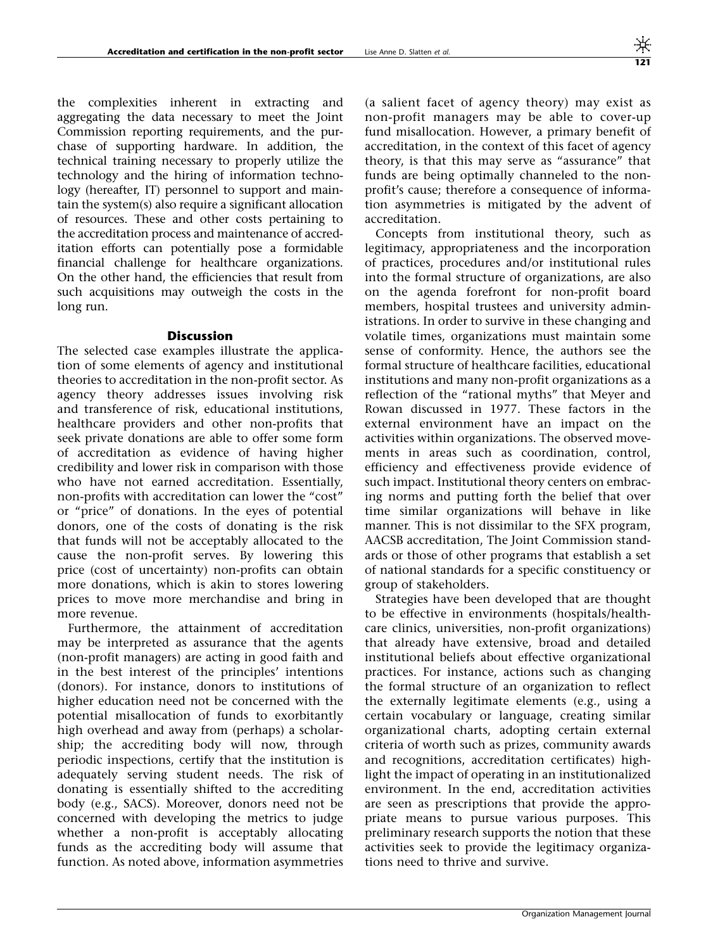the complexities inherent in extracting and aggregating the data necessary to meet the Joint Commission reporting requirements, and the purchase of supporting hardware. In addition, the technical training necessary to properly utilize the technology and the hiring of information technology (hereafter, IT) personnel to support and maintain the system(s) also require a significant allocation of resources. These and other costs pertaining to the accreditation process and maintenance of accreditation efforts can potentially pose a formidable financial challenge for healthcare organizations. On the other hand, the efficiencies that result from such acquisitions may outweigh the costs in the long run.

#### Discussion

The selected case examples illustrate the application of some elements of agency and institutional theories to accreditation in the non-profit sector. As agency theory addresses issues involving risk and transference of risk, educational institutions, healthcare providers and other non-profits that seek private donations are able to offer some form of accreditation as evidence of having higher credibility and lower risk in comparison with those who have not earned accreditation. Essentially, non-profits with accreditation can lower the "cost" or "price" of donations. In the eyes of potential donors, one of the costs of donating is the risk that funds will not be acceptably allocated to the cause the non-profit serves. By lowering this price (cost of uncertainty) non-profits can obtain more donations, which is akin to stores lowering prices to move more merchandise and bring in more revenue.

Furthermore, the attainment of accreditation may be interpreted as assurance that the agents (non-profit managers) are acting in good faith and in the best interest of the principles' intentions (donors). For instance, donors to institutions of higher education need not be concerned with the potential misallocation of funds to exorbitantly high overhead and away from (perhaps) a scholarship; the accrediting body will now, through periodic inspections, certify that the institution is adequately serving student needs. The risk of donating is essentially shifted to the accrediting body (e.g., SACS). Moreover, donors need not be concerned with developing the metrics to judge whether a non-profit is acceptably allocating funds as the accrediting body will assume that function. As noted above, information asymmetries (a salient facet of agency theory) may exist as non-profit managers may be able to cover-up fund misallocation. However, a primary benefit of accreditation, in the context of this facet of agency theory, is that this may serve as "assurance" that funds are being optimally channeled to the nonprofit's cause; therefore a consequence of information asymmetries is mitigated by the advent of accreditation.

Concepts from institutional theory, such as legitimacy, appropriateness and the incorporation of practices, procedures and/or institutional rules into the formal structure of organizations, are also on the agenda forefront for non-profit board members, hospital trustees and university administrations. In order to survive in these changing and volatile times, organizations must maintain some sense of conformity. Hence, the authors see the formal structure of healthcare facilities, educational institutions and many non-profit organizations as a reflection of the "rational myths" that Meyer and Rowan discussed in 1977. These factors in the external environment have an impact on the activities within organizations. The observed movements in areas such as coordination, control, efficiency and effectiveness provide evidence of such impact. Institutional theory centers on embracing norms and putting forth the belief that over time similar organizations will behave in like manner. This is not dissimilar to the SFX program, AACSB accreditation, The Joint Commission standards or those of other programs that establish a set of national standards for a specific constituency or group of stakeholders.

Strategies have been developed that are thought to be effective in environments (hospitals/healthcare clinics, universities, non-profit organizations) that already have extensive, broad and detailed institutional beliefs about effective organizational practices. For instance, actions such as changing the formal structure of an organization to reflect the externally legitimate elements (e.g., using a certain vocabulary or language, creating similar organizational charts, adopting certain external criteria of worth such as prizes, community awards and recognitions, accreditation certificates) highlight the impact of operating in an institutionalized environment. In the end, accreditation activities are seen as prescriptions that provide the appropriate means to pursue various purposes. This preliminary research supports the notion that these activities seek to provide the legitimacy organizations need to thrive and survive.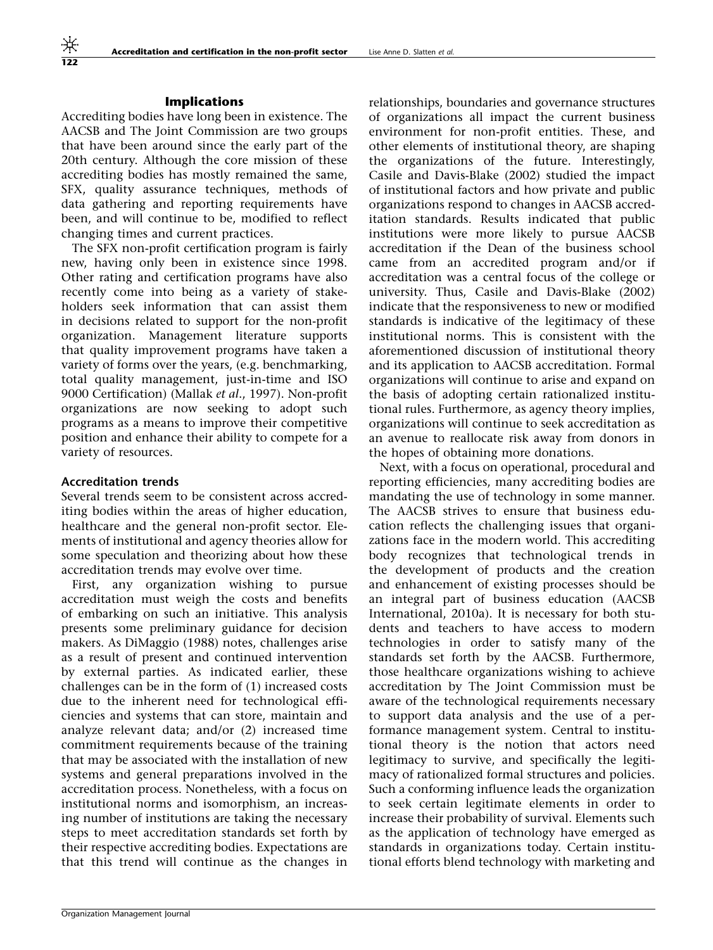#### Implications

Accrediting bodies have long been in existence. The AACSB and The Joint Commission are two groups that have been around since the early part of the 20th century. Although the core mission of these accrediting bodies has mostly remained the same, SFX, quality assurance techniques, methods of data gathering and reporting requirements have been, and will continue to be, modified to reflect changing times and current practices.

The SFX non-profit certification program is fairly new, having only been in existence since 1998. Other rating and certification programs have also recently come into being as a variety of stakeholders seek information that can assist them in decisions related to support for the non-profit organization. Management literature supports that quality improvement programs have taken a variety of forms over the years, (e.g. benchmarking, total quality management, just-in-time and ISO 9000 Certification) (Mallak et al., 1997). Non-profit organizations are now seeking to adopt such programs as a means to improve their competitive position and enhance their ability to compete for a variety of resources.

#### Accreditation trends

122

≭

Several trends seem to be consistent across accrediting bodies within the areas of higher education, healthcare and the general non-profit sector. Elements of institutional and agency theories allow for some speculation and theorizing about how these accreditation trends may evolve over time.

First, any organization wishing to pursue accreditation must weigh the costs and benefits of embarking on such an initiative. This analysis presents some preliminary guidance for decision makers. As DiMaggio (1988) notes, challenges arise as a result of present and continued intervention by external parties. As indicated earlier, these challenges can be in the form of (1) increased costs due to the inherent need for technological efficiencies and systems that can store, maintain and analyze relevant data; and/or (2) increased time commitment requirements because of the training that may be associated with the installation of new systems and general preparations involved in the accreditation process. Nonetheless, with a focus on institutional norms and isomorphism, an increasing number of institutions are taking the necessary steps to meet accreditation standards set forth by their respective accrediting bodies. Expectations are that this trend will continue as the changes in relationships, boundaries and governance structures of organizations all impact the current business environment for non-profit entities. These, and other elements of institutional theory, are shaping the organizations of the future. Interestingly, Casile and Davis-Blake (2002) studied the impact of institutional factors and how private and public organizations respond to changes in AACSB accreditation standards. Results indicated that public institutions were more likely to pursue AACSB accreditation if the Dean of the business school came from an accredited program and/or if accreditation was a central focus of the college or university. Thus, Casile and Davis-Blake (2002) indicate that the responsiveness to new or modified standards is indicative of the legitimacy of these institutional norms. This is consistent with the aforementioned discussion of institutional theory and its application to AACSB accreditation. Formal organizations will continue to arise and expand on the basis of adopting certain rationalized institutional rules. Furthermore, as agency theory implies, organizations will continue to seek accreditation as an avenue to reallocate risk away from donors in the hopes of obtaining more donations.

Next, with a focus on operational, procedural and reporting efficiencies, many accrediting bodies are mandating the use of technology in some manner. The AACSB strives to ensure that business education reflects the challenging issues that organizations face in the modern world. This accrediting body recognizes that technological trends in the development of products and the creation and enhancement of existing processes should be an integral part of business education (AACSB International, 2010a). It is necessary for both students and teachers to have access to modern technologies in order to satisfy many of the standards set forth by the AACSB. Furthermore, those healthcare organizations wishing to achieve accreditation by The Joint Commission must be aware of the technological requirements necessary to support data analysis and the use of a performance management system. Central to institutional theory is the notion that actors need legitimacy to survive, and specifically the legitimacy of rationalized formal structures and policies. Such a conforming influence leads the organization to seek certain legitimate elements in order to increase their probability of survival. Elements such as the application of technology have emerged as standards in organizations today. Certain institutional efforts blend technology with marketing and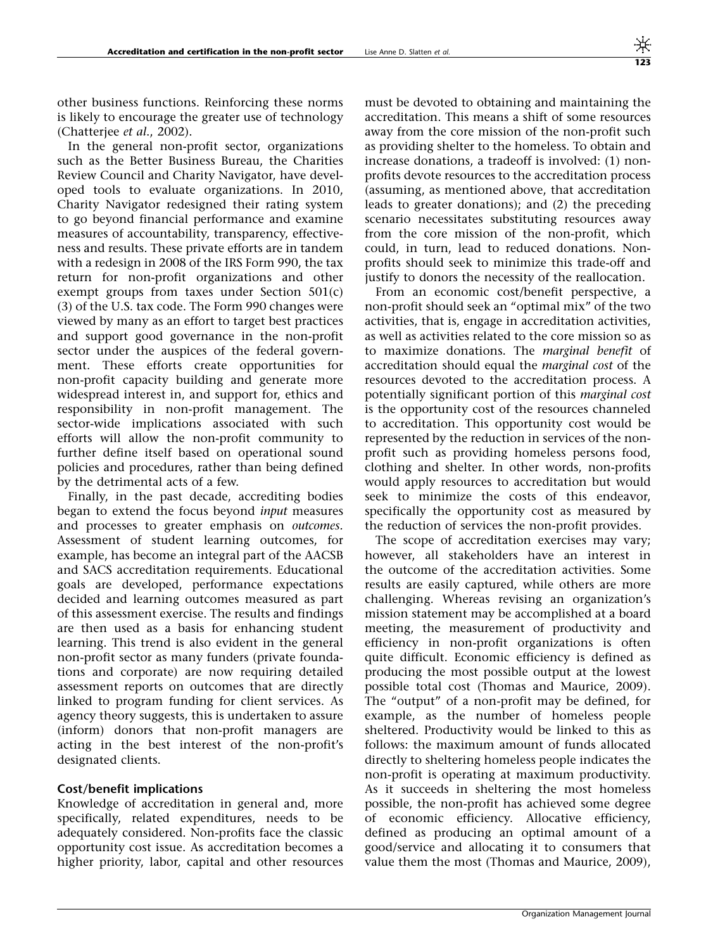other business functions. Reinforcing these norms is likely to encourage the greater use of technology (Chatterjee et al., 2002).

In the general non-profit sector, organizations such as the Better Business Bureau, the Charities Review Council and Charity Navigator, have developed tools to evaluate organizations. In 2010, Charity Navigator redesigned their rating system to go beyond financial performance and examine measures of accountability, transparency, effectiveness and results. These private efforts are in tandem with a redesign in 2008 of the IRS Form 990, the tax return for non-profit organizations and other exempt groups from taxes under Section 501(c) (3) of the U.S. tax code. The Form 990 changes were viewed by many as an effort to target best practices and support good governance in the non-profit sector under the auspices of the federal government. These efforts create opportunities for non-profit capacity building and generate more widespread interest in, and support for, ethics and responsibility in non-profit management. The sector-wide implications associated with such efforts will allow the non-profit community to further define itself based on operational sound policies and procedures, rather than being defined by the detrimental acts of a few.

Finally, in the past decade, accrediting bodies began to extend the focus beyond input measures and processes to greater emphasis on outcomes. Assessment of student learning outcomes, for example, has become an integral part of the AACSB and SACS accreditation requirements. Educational goals are developed, performance expectations decided and learning outcomes measured as part of this assessment exercise. The results and findings are then used as a basis for enhancing student learning. This trend is also evident in the general non-profit sector as many funders (private foundations and corporate) are now requiring detailed assessment reports on outcomes that are directly linked to program funding for client services. As agency theory suggests, this is undertaken to assure (inform) donors that non-profit managers are acting in the best interest of the non-profit's designated clients.

#### Cost/benefit implications

Knowledge of accreditation in general and, more specifically, related expenditures, needs to be adequately considered. Non-profits face the classic opportunity cost issue. As accreditation becomes a higher priority, labor, capital and other resources must be devoted to obtaining and maintaining the accreditation. This means a shift of some resources away from the core mission of the non-profit such as providing shelter to the homeless. To obtain and increase donations, a tradeoff is involved: (1) nonprofits devote resources to the accreditation process (assuming, as mentioned above, that accreditation leads to greater donations); and (2) the preceding scenario necessitates substituting resources away from the core mission of the non-profit, which could, in turn, lead to reduced donations. Nonprofits should seek to minimize this trade-off and justify to donors the necessity of the reallocation.

From an economic cost/benefit perspective, a non-profit should seek an "optimal mix" of the two activities, that is, engage in accreditation activities, as well as activities related to the core mission so as to maximize donations. The marginal benefit of accreditation should equal the marginal cost of the resources devoted to the accreditation process. A potentially significant portion of this marginal cost is the opportunity cost of the resources channeled to accreditation. This opportunity cost would be represented by the reduction in services of the nonprofit such as providing homeless persons food, clothing and shelter. In other words, non-profits would apply resources to accreditation but would seek to minimize the costs of this endeavor, specifically the opportunity cost as measured by the reduction of services the non-profit provides.

The scope of accreditation exercises may vary; however, all stakeholders have an interest in the outcome of the accreditation activities. Some results are easily captured, while others are more challenging. Whereas revising an organization's mission statement may be accomplished at a board meeting, the measurement of productivity and efficiency in non-profit organizations is often quite difficult. Economic efficiency is defined as producing the most possible output at the lowest possible total cost (Thomas and Maurice, 2009). The "output" of a non-profit may be defined, for example, as the number of homeless people sheltered. Productivity would be linked to this as follows: the maximum amount of funds allocated directly to sheltering homeless people indicates the non-profit is operating at maximum productivity. As it succeeds in sheltering the most homeless possible, the non-profit has achieved some degree of economic efficiency. Allocative efficiency, defined as producing an optimal amount of a good/service and allocating it to consumers that value them the most (Thomas and Maurice, 2009),

123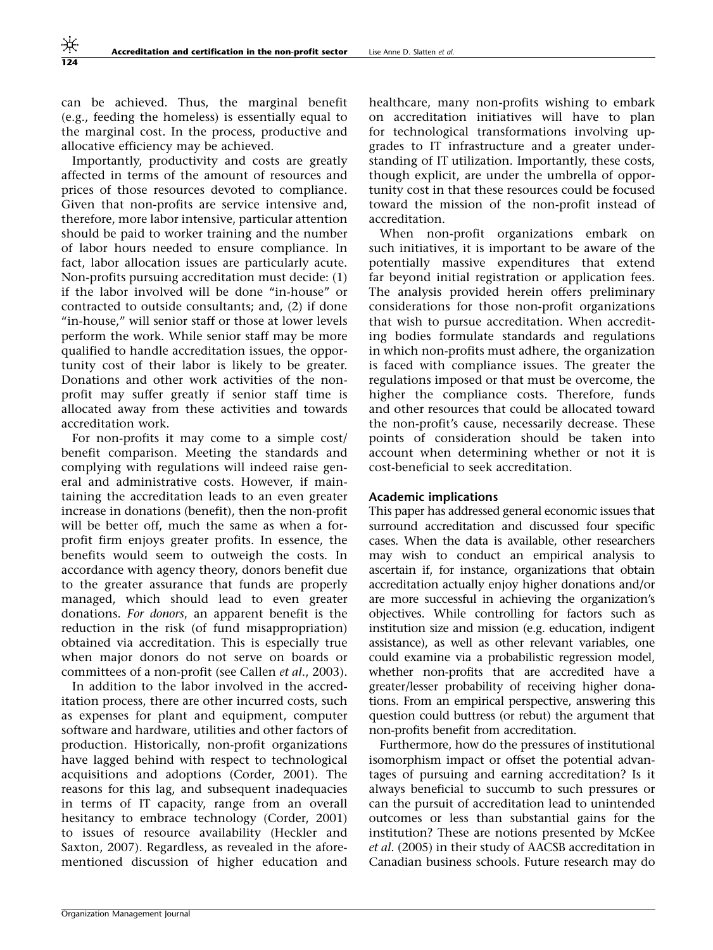can be achieved. Thus, the marginal benefit (e.g., feeding the homeless) is essentially equal to the marginal cost. In the process, productive and allocative efficiency may be achieved.

Importantly, productivity and costs are greatly affected in terms of the amount of resources and prices of those resources devoted to compliance. Given that non-profits are service intensive and, therefore, more labor intensive, particular attention should be paid to worker training and the number of labor hours needed to ensure compliance. In fact, labor allocation issues are particularly acute. Non-profits pursuing accreditation must decide: (1) if the labor involved will be done "in-house" or contracted to outside consultants; and, (2) if done "in-house," will senior staff or those at lower levels perform the work. While senior staff may be more qualified to handle accreditation issues, the opportunity cost of their labor is likely to be greater. Donations and other work activities of the nonprofit may suffer greatly if senior staff time is allocated away from these activities and towards accreditation work.

For non-profits it may come to a simple cost/ benefit comparison. Meeting the standards and complying with regulations will indeed raise general and administrative costs. However, if maintaining the accreditation leads to an even greater increase in donations (benefit), then the non-profit will be better off, much the same as when a forprofit firm enjoys greater profits. In essence, the benefits would seem to outweigh the costs. In accordance with agency theory, donors benefit due to the greater assurance that funds are properly managed, which should lead to even greater donations. For donors, an apparent benefit is the reduction in the risk (of fund misappropriation) obtained via accreditation. This is especially true when major donors do not serve on boards or committees of a non-profit (see Callen et al., 2003).

In addition to the labor involved in the accreditation process, there are other incurred costs, such as expenses for plant and equipment, computer software and hardware, utilities and other factors of production. Historically, non-profit organizations have lagged behind with respect to technological acquisitions and adoptions (Corder, 2001). The reasons for this lag, and subsequent inadequacies in terms of IT capacity, range from an overall hesitancy to embrace technology (Corder, 2001) to issues of resource availability (Heckler and Saxton, 2007). Regardless, as revealed in the aforementioned discussion of higher education and healthcare, many non-profits wishing to embark on accreditation initiatives will have to plan for technological transformations involving upgrades to IT infrastructure and a greater understanding of IT utilization. Importantly, these costs, though explicit, are under the umbrella of opportunity cost in that these resources could be focused toward the mission of the non-profit instead of accreditation.

When non-profit organizations embark on such initiatives, it is important to be aware of the potentially massive expenditures that extend far beyond initial registration or application fees. The analysis provided herein offers preliminary considerations for those non-profit organizations that wish to pursue accreditation. When accrediting bodies formulate standards and regulations in which non-profits must adhere, the organization is faced with compliance issues. The greater the regulations imposed or that must be overcome, the higher the compliance costs. Therefore, funds and other resources that could be allocated toward the non-profit's cause, necessarily decrease. These points of consideration should be taken into account when determining whether or not it is cost-beneficial to seek accreditation.

# Academic implications

This paper has addressed general economic issues that surround accreditation and discussed four specific cases. When the data is available, other researchers may wish to conduct an empirical analysis to ascertain if, for instance, organizations that obtain accreditation actually enjoy higher donations and/or are more successful in achieving the organization's objectives. While controlling for factors such as institution size and mission (e.g. education, indigent assistance), as well as other relevant variables, one could examine via a probabilistic regression model, whether non-profits that are accredited have a greater/lesser probability of receiving higher donations. From an empirical perspective, answering this question could buttress (or rebut) the argument that non-profits benefit from accreditation.

Furthermore, how do the pressures of institutional isomorphism impact or offset the potential advantages of pursuing and earning accreditation? Is it always beneficial to succumb to such pressures or can the pursuit of accreditation lead to unintended outcomes or less than substantial gains for the institution? These are notions presented by McKee et al. (2005) in their study of AACSB accreditation in Canadian business schools. Future research may do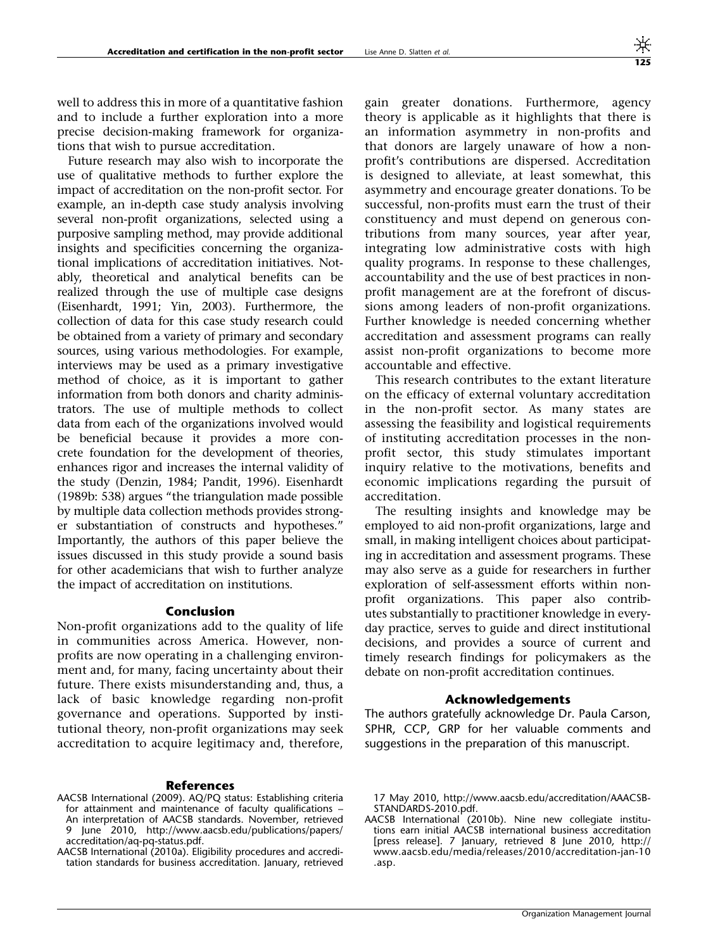well to address this in more of a quantitative fashion and to include a further exploration into a more precise decision-making framework for organizations that wish to pursue accreditation.

Future research may also wish to incorporate the use of qualitative methods to further explore the impact of accreditation on the non-profit sector. For example, an in-depth case study analysis involving several non-profit organizations, selected using a purposive sampling method, may provide additional insights and specificities concerning the organizational implications of accreditation initiatives. Notably, theoretical and analytical benefits can be realized through the use of multiple case designs (Eisenhardt, 1991; Yin, 2003). Furthermore, the collection of data for this case study research could be obtained from a variety of primary and secondary sources, using various methodologies. For example, interviews may be used as a primary investigative method of choice, as it is important to gather information from both donors and charity administrators. The use of multiple methods to collect data from each of the organizations involved would be beneficial because it provides a more concrete foundation for the development of theories, enhances rigor and increases the internal validity of the study (Denzin, 1984; Pandit, 1996). Eisenhardt (1989b: 538) argues "the triangulation made possible by multiple data collection methods provides stronger substantiation of constructs and hypotheses." Importantly, the authors of this paper believe the issues discussed in this study provide a sound basis for other academicians that wish to further analyze the impact of accreditation on institutions.

# Conclusion

Non-profit organizations add to the quality of life in communities across America. However, nonprofits are now operating in a challenging environment and, for many, facing uncertainty about their future. There exists misunderstanding and, thus, a lack of basic knowledge regarding non-profit governance and operations. Supported by institutional theory, non-profit organizations may seek accreditation to acquire legitimacy and, therefore,

# References

- AACSB International (2009). AQ/PQ status: Establishing criteria for attainment and maintenance of faculty qualifications – An interpretation of AACSB standards. November, retrieved 9 June 2010, http://www.aacsb.edu/publications/papers/ accreditation/aq-pq-status.pdf.
- AACSB International (2010a). Eligibility procedures and accreditation standards for business accreditation. January, retrieved

gain greater donations. Furthermore, agency theory is applicable as it highlights that there is an information asymmetry in non-profits and that donors are largely unaware of how a nonprofit's contributions are dispersed. Accreditation is designed to alleviate, at least somewhat, this asymmetry and encourage greater donations. To be successful, non-profits must earn the trust of their constituency and must depend on generous contributions from many sources, year after year, integrating low administrative costs with high quality programs. In response to these challenges, accountability and the use of best practices in nonprofit management are at the forefront of discussions among leaders of non-profit organizations. Further knowledge is needed concerning whether accreditation and assessment programs can really assist non-profit organizations to become more accountable and effective.

This research contributes to the extant literature on the efficacy of external voluntary accreditation in the non-profit sector. As many states are assessing the feasibility and logistical requirements of instituting accreditation processes in the nonprofit sector, this study stimulates important inquiry relative to the motivations, benefits and economic implications regarding the pursuit of accreditation.

The resulting insights and knowledge may be employed to aid non-profit organizations, large and small, in making intelligent choices about participating in accreditation and assessment programs. These may also serve as a guide for researchers in further exploration of self-assessment efforts within nonprofit organizations. This paper also contributes substantially to practitioner knowledge in everyday practice, serves to guide and direct institutional decisions, and provides a source of current and timely research findings for policymakers as the debate on non-profit accreditation continues.

# Acknowledgements

The authors gratefully acknowledge Dr. Paula Carson, SPHR, CCP, GRP for her valuable comments and suggestions in the preparation of this manuscript.

17 May 2010, http://www.aacsb.edu/accreditation/AAACSB-STANDARDS-2010.pdf.

AACSB International (2010b). Nine new collegiate institutions earn initial AACSB international business accreditation [press release]. 7 January, retrieved 8 June 2010, http:// www.aacsb.edu/media/releases/2010/accreditation-jan-10 .asp.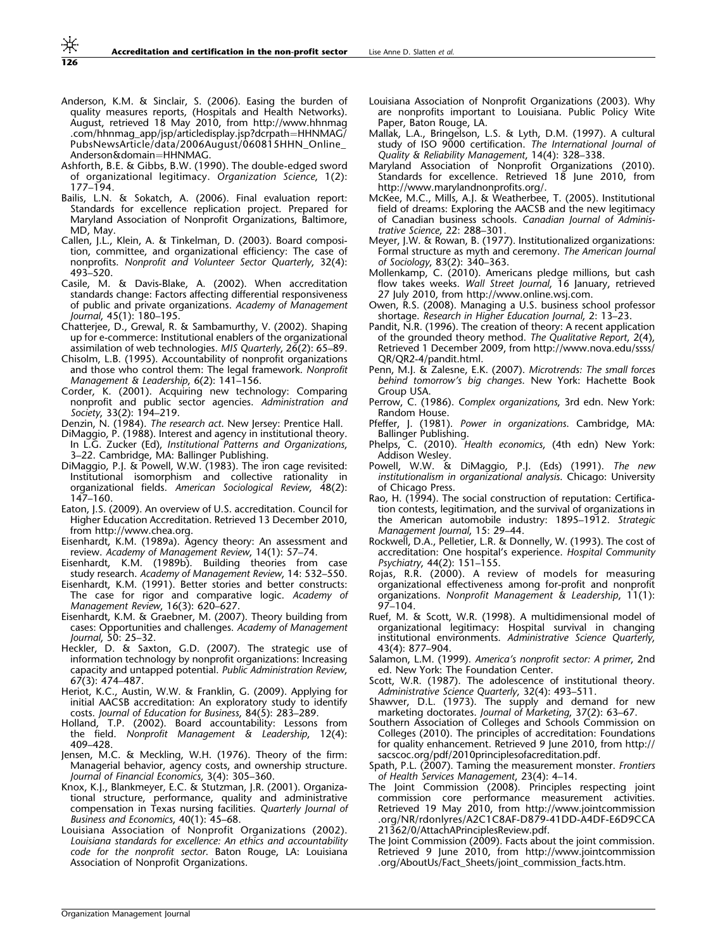126

Ashforth, B.E. & Gibbs, B.W. (1990). The double-edged sword of organizational legitimacy. Organization Science, 1(2): 177–194.

- Bailis, L.N. & Sokatch, A. (2006). Final evaluation report: Standards for excellence replication project. Prepared for Maryland Association of Nonprofit Organizations, Baltimore, MD, May.
- Callen, J.L., Klein, A. & Tinkelman, D. (2003). Board composition, committee, and organizational efficiency: The case of nonprofits. Nonprofit and Volunteer Sector Quarterly, 32(4): 493–520.
- Casile, M. & Davis-Blake, A. (2002). When accreditation standards change: Factors affecting differential responsiveness of public and private organizations. Academy of Management Journal, 45(1): 180–195.
- Chatterjee, D., Grewal, R. & Sambamurthy, V. (2002). Shaping up for e-commerce: Institutional enablers of the organizational assimilation of web technologies. MIS Quarterly,  $2\bar{6}$ (2): 65–89.
- Chisolm, L.B. (1995). Accountability of nonprofit organizations and those who control them: The legal framework. Nonprofit Management & Leadership, 6(2): 141–156.
- Corder, K. (2001). Acquiring new technology: Comparing nonprofit and public sector agencies. Administration and Society, 33(2): 194–219.
- Denzin, N. (1984). The research act. New Jersey: Prentice Hall.
- DiMaggio, P. (1988). Interest and agency in institutional theory. In L.G. Zucker (Ed), Institutional Patterns and Organizations, 3–22. Cambridge, MA: Ballinger Publishing.
- DiMaggio, P.J. & Powell, W.W. (1983). The iron cage revisited: Institutional isomorphism and collective rationality in organizational fields. American Sociological Review, 48(2): 147–160.
- Eaton, J.S. (2009). An overview of U.S. accreditation. Council for Higher Education Accreditation. Retrieved 13 December 2010, from http://www.chea.org.
- Eisenhardt, K.M. (1989a). Agency theory: An assessment and review. Academy of Management Review, 14(1): 57–74.
- Eisenhardt, K.M. (1989b). Building theories from case study research. Academy of Management Review, 14: 532–550.
- Eisenhardt, K.M. (1991). Better stories and better constructs: The case for rigor and comparative logic. Academy of Management Review, 16(3): 620–627.
- Eisenhardt, K.M. & Graebner, M. (2007). Theory building from cases: Opportunities and challenges. Academy of Management Journal, 50: 25–32.
- Heckler, D. & Saxton, G.D. (2007). The strategic use of information technology by nonprofit organizations: Increasing capacity and untapped potential. Public Administration Review, 67(3): 474–487.
- Heriot, K.C., Austin, W.W. & Franklin, G. (2009). Applying for initial AACSB accreditation: An exploratory study to identify costs. Journal of Education for Business, 84(5): 283–289.
- Holland, T.P. (2002). Board accountability: Lessons from the field. Nonprofit Management & Leadership, 12(4): 409–428.
- Jensen, M.C. & Meckling, W.H. (1976). Theory of the firm: Managerial behavior, agency costs, and ownership structure. Journal of Financial Economics, 3(4): 305–360.
- Knox, K.J., Blankmeyer, E.C. & Stutzman, J.R. (2001). Organizational structure, performance, quality and administrative compensation in Texas nursing facilities. Quarterly Journal of Business and Economics, 40(1): 45–68.
- Louisiana Association of Nonprofit Organizations (2002). Louisiana standards for excellence: An ethics and accountability code for the nonprofit sector. Baton Rouge, LA: Louisiana Association of Nonprofit Organizations.
- Louisiana Association of Nonprofit Organizations (2003). Why are nonprofits important to Louisiana. Public Policy Wite Paper, Baton Rouge, LA.
- Mallak, L.A., Bringelson, L.S. & Lyth, D.M. (1997). A cultural study of ISO 9000 certification. The International Journal of Quality & Reliability Management, 14(4): 328–338.
- Maryland Association of Nonprofit Organizations (2010). Standards for excellence. Retrieved 18 June 2010, from http://www.marylandnonprofits.org/.
- McKee, M.C., Mills, A.J. & Weatherbee, T. (2005). Institutional field of dreams: Exploring the AACSB and the new legitimacy of Canadian business schools. Canadian Journal of Administrative Science, 22: 288–301.
- Meyer, J.W. & Rowan, B. (1977). Institutionalized organizations: Formal structure as myth and ceremony. The American Journal of Sociology, 83(2): 340–363.
- Mollenkamp, C. (2010). Americans pledge millions, but cash flow takes weeks. Wall Street Journal, 16 January, retrieved 27 July 2010, from http://www.online.wsj.com.
- Owen, R.S. (2008). Managing a U.S. business school professor shortage. Research in Higher Education Journal, 2: 13–23.
- Pandit, N.R. (1996). The creation of theory: A recent application of the grounded theory method. The Qualitative Report, 2(4), Retrieved 1 December 2009, from http://www.nova.edu/ssss/ QR/QR2-4/pandit.html.
- Penn, M.J. & Zalesne, E.K. (2007). Microtrends: The small forces behind tomorrow's big changes. New York: Hachette Book Group USA.
- Perrow, C. (1986). Complex organizations, 3rd edn. New York: Random House.
- Pfeffer, J. (1981). Power in organizations. Cambridge, MA: Ballinger Publishing.
- Phelps, C. (2010). Health economics, (4th edn) New York: Addison Wesley.
- Powell, W.W. & DiMaggio, P.J. (Eds) (1991). The new institutionalism in organizational analysis. Chicago: University of Chicago Press.
- Rao, H. (1994). The social construction of reputation: Certification contests, legitimation, and the survival of organizations in the American automobile industry: 1895–1912. Strategic Management Journal, 15: 29–44.
- Rockwell, D.A., Pelletier, L.R. & Donnelly, W. (1993). The cost of accreditation: One hospital's experience. Hospital Community Psychiatry, 44(2): 151–155.
- Rojas, R.R. (2000). A review of models for measuring organizational effectiveness among for-profit and nonprofit organizations. Nonprofit Management & Leadership, 11(1):  $97-104$
- Ruef, M. & Scott, W.R. (1998). A multidimensional model of organizational legitimacy: Hospital survival in changing institutional environments. Administrative Science Quarterly, 43(4): 877–904.
- Salamon, L.M. (1999). America's nonprofit sector: A primer, 2nd ed. New York: The Foundation Center.
- Scott, W.R. (1987). The adolescence of institutional theory. Administrative Science Quarterly, 32(4): 493–511.
- Shawver, D.L. (1973). The supply and demand for new marketing doctorates. Journal of Marketing, 37(2): 63–67.
- Southern Association of Colleges and Schools Commission on Colleges (2010). The principles of accreditation: Foundations for quality enhancement. Retrieved 9 June 2010, from http:// sacscoc.org/pdf/2010principlesofacreditation.pdf.
- Spath, P.L. (2007). Taming the measurement monster. Frontiers of Health Services Management, 23(4): 4–14.
- The Joint Commission (2008). Principles respecting joint commission core performance measurement activities. Retrieved 19 May 2010, from http://www.jointcommission .org/NR/rdonlyres/A2C1C8AF-D879-41DD-A4DF-E6D9CCA 21362/0/AttachAPrinciplesReview.pdf.
- The Joint Commission (2009). Facts about the joint commission. Retrieved 9 June 2010, from http://www.jointcommission .org/AboutUs/Fact\_Sheets/joint\_commission\_facts.htm.